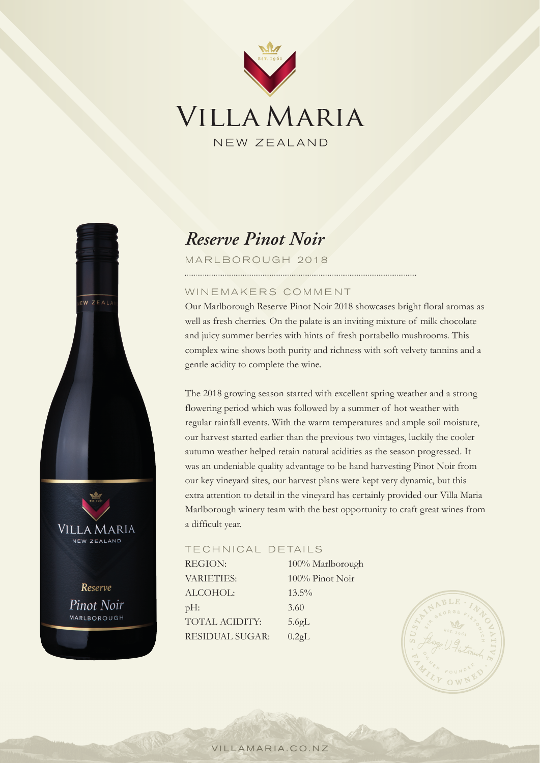



# *Reserve Pinot Noir*

MARLBOROUGH 2018

## WINEMAKERS COMMENT

 Our Marlborough Reserve Pinot Noir 2018 showcases bright floral aromas as well as fresh cherries. On the palate is an inviting mixture of milk chocolate and juicy summer berries with hints of fresh portabello mushrooms. This complex wine shows both purity and richness with soft velvety tannins and a gentle acidity to complete the wine.

The 2018 growing season started with excellent spring weather and a strong flowering period which was followed by a summer of hot weather with regular rainfall events. With the warm temperatures and ample soil moisture, our harvest started earlier than the previous two vintages, luckily the cooler autumn weather helped retain natural acidities as the season progressed. It was an undeniable quality advantage to be hand harvesting Pinot Noir from our key vineyard sites, our harvest plans were kept very dynamic, but this extra attention to detail in the vineyard has certainly provided our Villa Maria Marlborough winery team with the best opportunity to craft great wines from a difficult year.

## TECHNICAL DETAILS

REGION:  $100\%$  Marlborough VARIETIES: 100% Pinot Noir ALCOHOL: 13.5% pH: 3.60 TOTAL ACIDITY: 5.6gL RESIDUAL SUGAR: 0.2gL



VILLAMARIA.CO.NZ